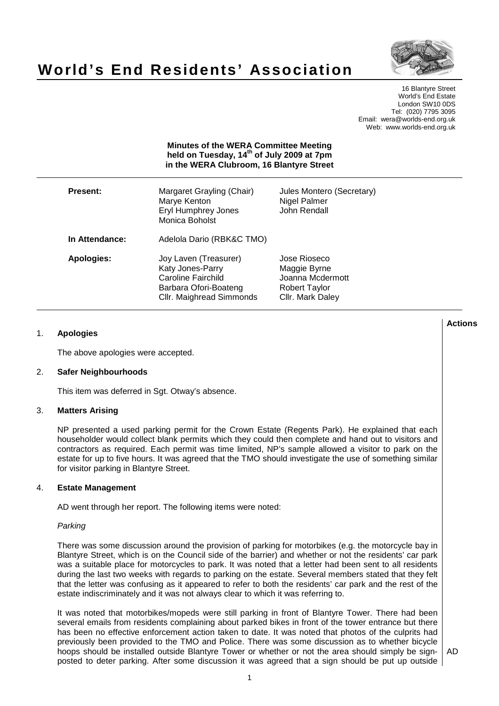

# **World's End Residents' Association**

16 Blantyre Street World's End Estate London SW10 0DS Tel: (020) 7795 3095 Email: wera@worlds-end.org.uk Web: www.worlds-end.org.uk

# **Minutes of the WERA Committee Meeting held on Tuesday, 14th of July 2009 at 7pm in the WERA Clubroom, 16 Blantyre Street**

| Present:          | Margaret Grayling (Chair)<br>Marye Kenton<br><b>Eryl Humphrey Jones</b><br>Monica Boholst                            | Jules Montero (Secretary)<br>Nigel Palmer<br>John Rendall                             |
|-------------------|----------------------------------------------------------------------------------------------------------------------|---------------------------------------------------------------------------------------|
| In Attendance:    | Adelola Dario (RBK&C TMO)                                                                                            |                                                                                       |
| <b>Apologies:</b> | Joy Laven (Treasurer)<br>Katy Jones-Parry<br>Caroline Fairchild<br>Barbara Ofori-Boateng<br>Cllr. Maighread Simmonds | Jose Rioseco<br>Maggie Byrne<br>Joanna Mcdermott<br>Robert Taylor<br>Cllr. Mark Daley |

# 1. **Apologies**

The above apologies were accepted.

# 2. **Safer Neighbourhoods**

This item was deferred in Sgt. Otway's absence.

## 3. **Matters Arising**

NP presented a used parking permit for the Crown Estate (Regents Park). He explained that each householder would collect blank permits which they could then complete and hand out to visitors and contractors as required. Each permit was time limited, NP's sample allowed a visitor to park on the estate for up to five hours. It was agreed that the TMO should investigate the use of something similar for visitor parking in Blantyre Street.

# 4. **Estate Management**

AD went through her report. The following items were noted:

## Parking

There was some discussion around the provision of parking for motorbikes (e.g. the motorcycle bay in Blantyre Street, which is on the Council side of the barrier) and whether or not the residents' car park was a suitable place for motorcycles to park. It was noted that a letter had been sent to all residents during the last two weeks with regards to parking on the estate. Several members stated that they felt that the letter was confusing as it appeared to refer to both the residents' car park and the rest of the estate indiscriminately and it was not always clear to which it was referring to.

It was noted that motorbikes/mopeds were still parking in front of Blantyre Tower. There had been several emails from residents complaining about parked bikes in front of the tower entrance but there has been no effective enforcement action taken to date. It was noted that photos of the culprits had previously been provided to the TMO and Police. There was some discussion as to whether bicycle hoops should be installed outside Blantyre Tower or whether or not the area should simply be signposted to deter parking. After some discussion it was agreed that a sign should be put up outside

AD

**Lactions のことには、このことにより、このことにより、このことになります。 そのことには、このことにより、このことにより、このことになります。 そのことには、このことにより、このことには、このことにより、このことにより、このことにより、このことにより、このことにより、このことにより、このことにより、このことにより、このことにより、このことにより、このことにより、このことにより、このことにより、このことによっていることになっ**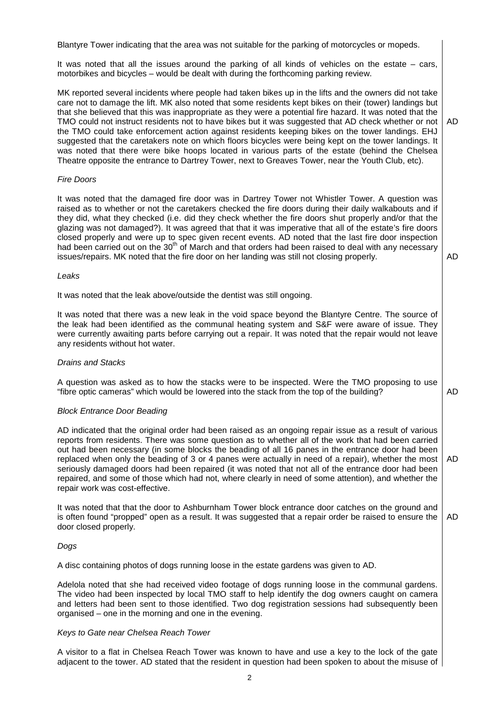Blantyre Tower indicating that the area was not suitable for the parking of motorcycles or mopeds.

It was noted that all the issues around the parking of all kinds of vehicles on the estate  $-$  cars, motorbikes and bicycles – would be dealt with during the forthcoming parking review.

MK reported several incidents where people had taken bikes up in the lifts and the owners did not take care not to damage the lift. MK also noted that some residents kept bikes on their (tower) landings but that she believed that this was inappropriate as they were a potential fire hazard. It was noted that the TMO could not instruct residents not to have bikes but it was suggested that AD check whether or not the TMO could take enforcement action against residents keeping bikes on the tower landings. EHJ suggested that the caretakers note on which floors bicycles were being kept on the tower landings. It was noted that there were bike hoops located in various parts of the estate (behind the Chelsea Theatre opposite the entrance to Dartrey Tower, next to Greaves Tower, near the Youth Club, etc). AD

## Fire Doors

It was noted that the damaged fire door was in Dartrey Tower not Whistler Tower. A question was raised as to whether or not the caretakers checked the fire doors during their daily walkabouts and if they did, what they checked (i.e. did they check whether the fire doors shut properly and/or that the glazing was not damaged?). It was agreed that that it was imperative that all of the estate's fire doors closed properly and were up to spec given recent events. AD noted that the last fire door inspection had been carried out on the 30<sup>th</sup> of March and that orders had been raised to deal with any necessary issues/repairs. MK noted that the fire door on her landing was still not closing properly.

AD

AD

#### Leaks

It was noted that the leak above/outside the dentist was still ongoing.

It was noted that there was a new leak in the void space beyond the Blantyre Centre. The source of the leak had been identified as the communal heating system and S&F were aware of issue. They were currently awaiting parts before carrying out a repair. It was noted that the repair would not leave any residents without hot water.

## Drains and Stacks

A question was asked as to how the stacks were to be inspected. Were the TMO proposing to use "fibre optic cameras" which would be lowered into the stack from the top of the building?

#### Block Entrance Door Beading

AD indicated that the original order had been raised as an ongoing repair issue as a result of various reports from residents. There was some question as to whether all of the work that had been carried out had been necessary (in some blocks the beading of all 16 panes in the entrance door had been replaced when only the beading of 3 or 4 panes were actually in need of a repair), whether the most seriously damaged doors had been repaired (it was noted that not all of the entrance door had been repaired, and some of those which had not, where clearly in need of some attention), and whether the repair work was cost-effective. AD

It was noted that that the door to Ashburnham Tower block entrance door catches on the ground and is often found "propped" open as a result. It was suggested that a repair order be raised to ensure the door closed properly. AD

## Dogs

A disc containing photos of dogs running loose in the estate gardens was given to AD.

Adelola noted that she had received video footage of dogs running loose in the communal gardens. The video had been inspected by local TMO staff to help identify the dog owners caught on camera and letters had been sent to those identified. Two dog registration sessions had subsequently been organised – one in the morning and one in the evening.

#### Keys to Gate near Chelsea Reach Tower

A visitor to a flat in Chelsea Reach Tower was known to have and use a key to the lock of the gate adjacent to the tower. AD stated that the resident in question had been spoken to about the misuse of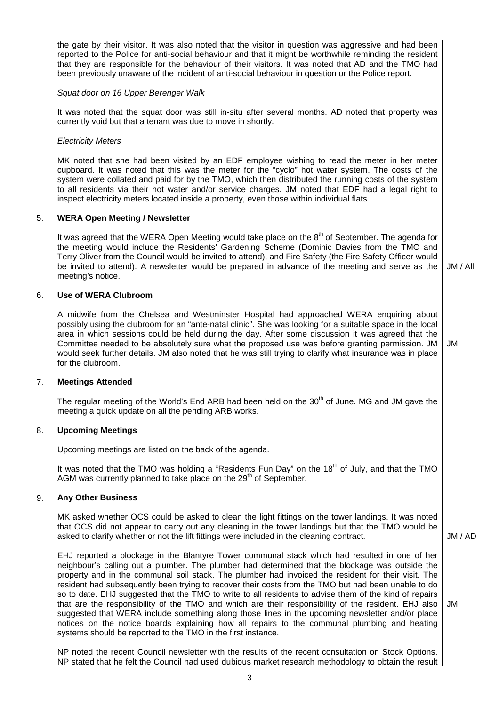the gate by their visitor. It was also noted that the visitor in question was aggressive and had been reported to the Police for anti-social behaviour and that it might be worthwhile reminding the resident that they are responsible for the behaviour of their visitors. It was noted that AD and the TMO had been previously unaware of the incident of anti-social behaviour in question or the Police report.

#### Squat door on 16 Upper Berenger Walk

It was noted that the squat door was still in-situ after several months. AD noted that property was currently void but that a tenant was due to move in shortly.

## Electricity Meters

MK noted that she had been visited by an EDF employee wishing to read the meter in her meter cupboard. It was noted that this was the meter for the "cyclo" hot water system. The costs of the system were collated and paid for by the TMO, which then distributed the running costs of the system to all residents via their hot water and/or service charges. JM noted that EDF had a legal right to inspect electricity meters located inside a property, even those within individual flats.

## 5. **WERA Open Meeting / Newsletter**

It was agreed that the WERA Open Meeting would take place on the 8<sup>th</sup> of September. The agenda for the meeting would include the Residents' Gardening Scheme (Dominic Davies from the TMO and Terry Oliver from the Council would be invited to attend), and Fire Safety (the Fire Safety Officer would be invited to attend). A newsletter would be prepared in advance of the meeting and serve as the meeting's notice. JM / All

#### 6. **Use of WERA Clubroom**

A midwife from the Chelsea and Westminster Hospital had approached WERA enquiring about possibly using the clubroom for an "ante-natal clinic". She was looking for a suitable space in the local area in which sessions could be held during the day. After some discussion it was agreed that the Committee needed to be absolutely sure what the proposed use was before granting permission. JM would seek further details. JM also noted that he was still trying to clarify what insurance was in place for the clubroom. JM

## 7. **Meetings Attended**

The regular meeting of the World's End ARB had been held on the 30<sup>th</sup> of June. MG and JM gave the meeting a quick update on all the pending ARB works.

## 8. **Upcoming Meetings**

Upcoming meetings are listed on the back of the agenda.

It was noted that the TMO was holding a "Residents Fun Day" on the  $18<sup>th</sup>$  of July, and that the TMO AGM was currently planned to take place on the  $29<sup>th</sup>$  of September.

#### 9. **Any Other Business**

MK asked whether OCS could be asked to clean the light fittings on the tower landings. It was noted that OCS did not appear to carry out any cleaning in the tower landings but that the TMO would be asked to clarify whether or not the lift fittings were included in the cleaning contract.

EHJ reported a blockage in the Blantyre Tower communal stack which had resulted in one of her neighbour's calling out a plumber. The plumber had determined that the blockage was outside the property and in the communal soil stack. The plumber had invoiced the resident for their visit. The resident had subsequently been trying to recover their costs from the TMO but had been unable to do so to date. EHJ suggested that the TMO to write to all residents to advise them of the kind of repairs that are the responsibility of the TMO and which are their responsibility of the resident. EHJ also suggested that WERA include something along those lines in the upcoming newsletter and/or place notices on the notice boards explaining how all repairs to the communal plumbing and heating systems should be reported to the TMO in the first instance. JM

NP noted the recent Council newsletter with the results of the recent consultation on Stock Options. NP stated that he felt the Council had used dubious market research methodology to obtain the result

JM / AD